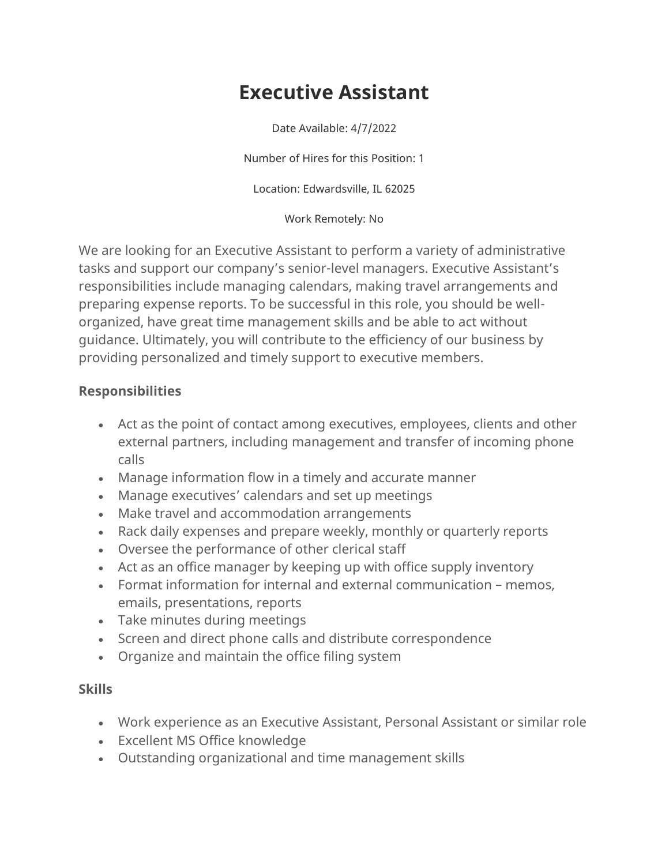## **Executive Assistant**

Date Available: 4/7/2022

Number of Hires for this Position: 1

Location: Edwardsville, IL 62025

## Work Remotely: No

We are looking for an Executive Assistant to perform a variety of administrative tasks and support our company's senior-level managers. Executive Assistant's responsibilities include managing calendars, making travel arrangements and preparing expense reports. To be successful in this role, you should be wellorganized, have great time management skills and be able to act without guidance. Ultimately, you will contribute to the efficiency of our business by providing personalized and timely support to executive members.

## **Responsibilities**

- Act as the point of contact among executives, employees, clients and other external partners, including management and transfer of incoming phone calls
- Manage information flow in a timely and accurate manner
- Manage executives' calendars and set up meetings
- Make travel and accommodation arrangements
- Rack daily expenses and prepare weekly, monthly or quarterly reports
- Oversee the performance of other clerical staff
- Act as an office manager by keeping up with office supply inventory
- Format information for internal and external communication memos, emails, presentations, reports
- Take minutes during meetings
- Screen and direct phone calls and distribute correspondence
- Organize and maintain the office filing system

## **Skills**

- Work experience as an Executive Assistant, Personal Assistant or similar role
- Excellent MS Office knowledge
- Outstanding organizational and time management skills